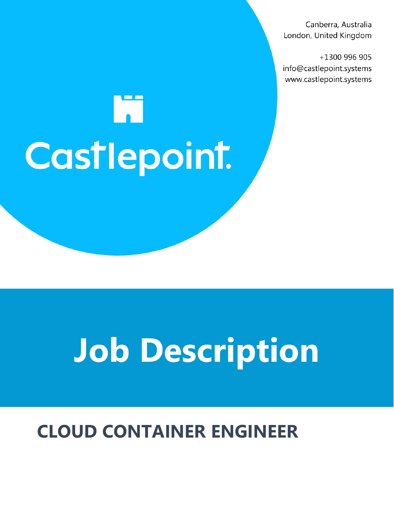Canberra, Australia London, United Kingdom

+1300 996 905 info@castlepoint.systems www.castlepoint.systems

# M Castlepoint.

## **Job Description**

### **CLOUD CONTAINER ENGINEER**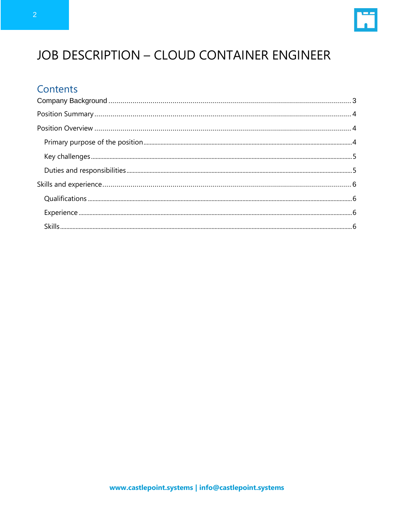

#### **JOB DESCRIPTION - CLOUD CONTAINER ENGINEER**

#### Contents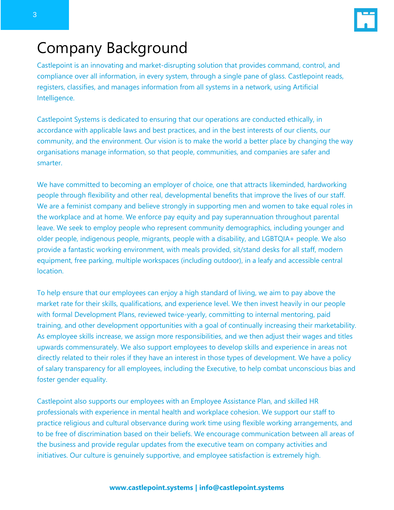

#### <span id="page-2-0"></span>Company Background

Castlepoint is an innovating and market-disrupting solution that provides command, control, and compliance over all information, in every system, through a single pane of glass. Castlepoint reads, registers, classifies, and manages information from all systems in a network, using Artificial Intelligence.

Castlepoint Systems is dedicated to ensuring that our operations are conducted ethically, in accordance with applicable laws and best practices, and in the best interests of our clients, our community, and the environment. Our vision is to make the world a better place by changing the way organisations manage information, so that people, communities, and companies are safer and smarter.

We have committed to becoming an employer of choice, one that attracts likeminded, hardworking people through flexibility and other real, developmental benefits that improve the lives of our staff. We are a feminist company and believe strongly in supporting men and women to take equal roles in the workplace and at home. We enforce pay equity and pay superannuation throughout parental leave. We seek to employ people who represent community demographics, including younger and older people, indigenous people, migrants, people with a disability, and LGBTQIA+ people. We also provide a fantastic working environment, with meals provided, sit/stand desks for all staff, modern equipment, free parking, multiple workspaces (including outdoor), in a leafy and accessible central location.

To help ensure that our employees can enjoy a high standard of living, we aim to pay above the market rate for their skills, qualifications, and experience level. We then invest heavily in our people with formal Development Plans, reviewed twice-yearly, committing to internal mentoring, paid training, and other development opportunities with a goal of continually increasing their marketability. As employee skills increase, we assign more responsibilities, and we then adjust their wages and titles upwards commensurately. We also support employees to develop skills and experience in areas not directly related to their roles if they have an interest in those types of development. We have a policy of salary transparency for all employees, including the Executive, to help combat unconscious bias and foster gender equality.

Castlepoint also supports our employees with an Employee Assistance Plan, and skilled HR professionals with experience in mental health and workplace cohesion. We support our staff to practice religious and cultural observance during work time using flexible working arrangements, and to be free of discrimination based on their beliefs. We encourage communication between all areas of the business and provide regular updates from the executive team on company activities and initiatives. Our culture is genuinely supportive, and employee satisfaction is extremely high.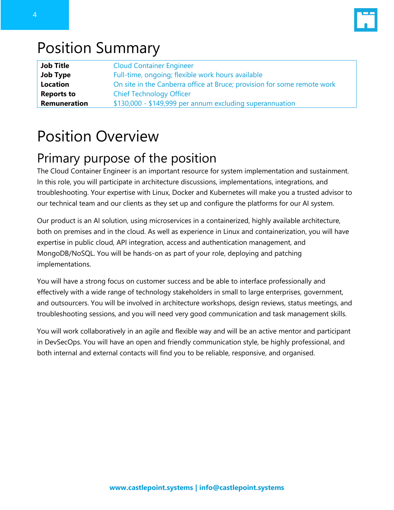

#### <span id="page-3-0"></span>Position Summary

| <b>Job Title</b>  | <b>Cloud Container Engineer</b>                                         |
|-------------------|-------------------------------------------------------------------------|
| <b>Job Type</b>   | Full-time, ongoing; flexible work hours available                       |
| <b>Location</b>   | On site in the Canberra office at Bruce; provision for some remote work |
| <b>Reports to</b> | <b>Chief Technology Officer</b>                                         |
| Remuneration      | \$130,000 - \$149,999 per annum excluding superannuation                |

#### <span id="page-3-1"></span>Position Overview

#### <span id="page-3-2"></span>Primary purpose of the position

The Cloud Container Engineer is an important resource for system implementation and sustainment. In this role, you will participate in architecture discussions, implementations, integrations, and troubleshooting. Your expertise with Linux, Docker and Kubernetes will make you a trusted advisor to our technical team and our clients as they set up and configure the platforms for our AI system.

Our product is an AI solution, using microservices in a containerized, highly available architecture, both on premises and in the cloud. As well as experience in Linux and containerization, you will have expertise in public cloud, API integration, access and authentication management, and MongoDB/NoSQL. You will be hands-on as part of your role, deploying and patching implementations.

You will have a strong focus on customer success and be able to interface professionally and effectively with a wide range of technology stakeholders in small to large enterprises, government, and outsourcers. You will be involved in architecture workshops, design reviews, status meetings, and troubleshooting sessions, and you will need very good communication and task management skills.

You will work collaboratively in an agile and flexible way and will be an active mentor and participant in DevSecOps. You will have an open and friendly communication style, be highly professional, and both internal and external contacts will find you to be reliable, responsive, and organised.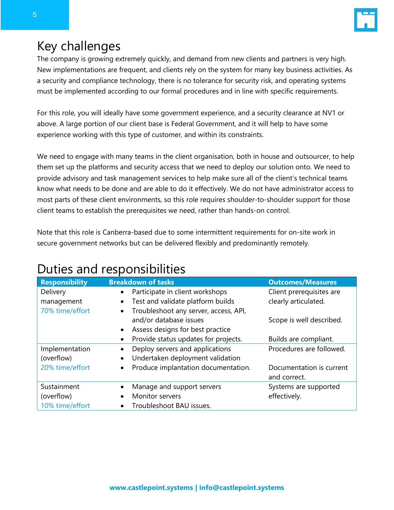

#### <span id="page-4-0"></span>Key challenges

The company is growing extremely quickly, and demand from new clients and partners is very high. New implementations are frequent, and clients rely on the system for many key business activities. As a security and compliance technology, there is no tolerance for security risk, and operating systems must be implemented according to our formal procedures and in line with specific requirements.

For this role, you will ideally have some government experience, and a security clearance at NV1 or above. A large portion of our client base is Federal Government, and it will help to have some experience working with this type of customer, and within its constraints.

We need to engage with many teams in the client organisation, both in house and outsourcer, to help them set up the platforms and security access that we need to deploy our solution onto. We need to provide advisory and task management services to help make sure all of the client's technical teams know what needs to be done and are able to do it effectively. We do not have administrator access to most parts of these client environments, so this role requires shoulder-to-shoulder support for those client teams to establish the prerequisites we need, rather than hands-on control.

Note that this role is Canberra-based due to some intermittent requirements for on-site work in secure government networks but can be delivered flexibly and predominantly remotely.

#### <span id="page-4-1"></span>Duties and responsibilities

| <b>Responsibility</b> | <b>Breakdown of tasks</b>                          | <b>Outcomes/Measures</b> |
|-----------------------|----------------------------------------------------|--------------------------|
| Delivery              | Participate in client workshops<br>$\bullet$       | Client prerequisites are |
| management            | Test and validate platform builds<br>$\bullet$     | clearly articulated.     |
| 70% time/effort       | Troubleshoot any server, access, API,<br>$\bullet$ |                          |
|                       | and/or database issues                             | Scope is well described. |
|                       | Assess designs for best practice<br>$\bullet$      |                          |
|                       | Provide status updates for projects.<br>$\bullet$  | Builds are compliant.    |
| Implementation        | Deploy servers and applications                    | Procedures are followed. |
| (overflow)            | Undertaken deployment validation<br>$\bullet$      |                          |
| 20% time/effort       | Produce implantation documentation.<br>$\bullet$   | Documentation is current |
|                       |                                                    | and correct.             |
| Sustainment           | Manage and support servers                         | Systems are supported    |
| (overflow)            | Monitor servers                                    | effectively.             |
| 10% time/effort       | Troubleshoot BAU issues.                           |                          |